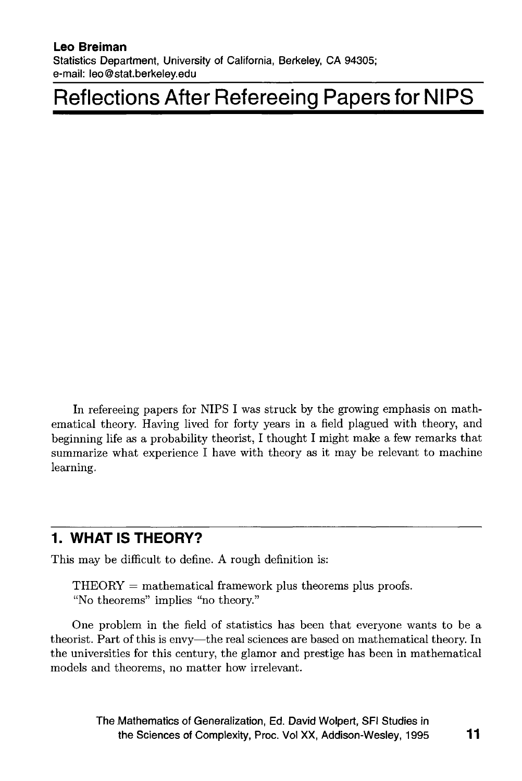#### **Leo Breiman**

**Statistics Department, University of California, Berkeley, CA 94305; e-mail: [leo@stat.berkeley.edu](mailto:leo@stat.berkeley.edu)**

# **[Reflections After Refereeing Papers for NIPS](#page--1-0)**

In refereeing papers for NIPS I was struck by the growing emphasis on mathematical theory. Having lived for forty years in a field plagued with theory, and beginning life as a probability theorist, I thought I might make a few remarks that summarize what experience I have with theory as it may be relevant to machine learning.

### **1. WHAT IS THEORY?**

This may be difficult to define. A rough definition is:

 $THEORY = mathematical framework plus theorems plus proofs.$ "No theorems" implies "no theory."

One problem in the field of statistics has been that everyone wants to be a theorist. Part of this is envy— the real sciences are based on mathematical theory. In the universities for this century, the glamor and prestige has been in mathematical models and theorems, no matter how irrelevant.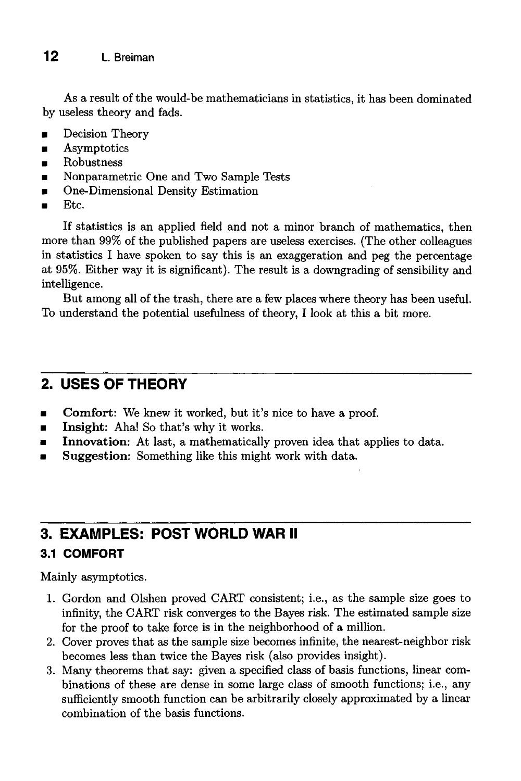As a result of the would-be mathematicians in statistics, it has been dominated by useless theory and fads.

- Decision Theory
- Asymptotics
- Robustness
- Nonparametric One and Two Sample Tests
- One-Dimensional Density Estimation
- Etc.

If statistics is an applied field and not a minor branch of mathematics, then more than 99% of the published papers are useless exercises. (The other colleagues in statistics I have spoken to say this is an exaggeration and peg the percentage at 95%. Either way it is significant). The result is a downgrading of sensibility and intelligence.

But among all of the trash, there are a few places where theory has been useful. To understand the potential usefulness of theory, I look at this a bit more.

## **2. USES OF THEORY**

- Comfort: We knew it worked, but it's nice to have a proof.
- Insight: Aha! So that's why it works.
- **■** Innovation: At last, a mathematically proven idea that applies to data.
- Suggestion: Something like this might work with data.

# **3. EXAMPLES: POST WORLD WAR II**

#### **3.1 COMFORT**

Mainly asymptotics.

- 1. Gordon and Olshen proved CART consistent; i.e., as the sample size goes to infinity, the CART risk converges to the Bayes risk. The estimated sample size for the proof to take force is in the neighborhood of a million.
- <sup>2</sup> . Cover proves that as the sample size becomes infinite, the nearest-neighbor risk becomes less than twice the Bayes risk (also provides insight).
- 3. Many theorems that say: given a specified class of basis functions, linear combinations of these are dense in some large class of smooth functions; i.e., any sufficiently smooth function can be arbitrarily closely approximated by a linear combination of the basis functions.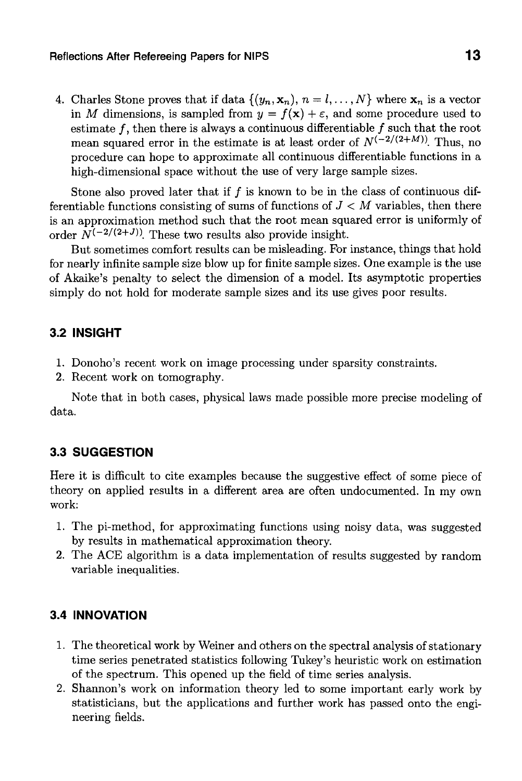4. Charles Stone proves that if data  $\{(y_n, \mathbf{x}_n), n = l, ..., N\}$  where  $\mathbf{x}_n$  is a vector in *M* dimensions, is sampled from  $y = f(x) + \varepsilon$ , and some procedure used to estimate  $f$ , then there is always a continuous differentiable  $f$  such that the root mean squared error in the estimate is at least order of  $N^{(-2/(2+M))}$ . Thus, no procedure can hope to approximate all continuous differentiable functions in a high-dimensional space without the use of very large sample sizes.

Stone also proved later that if  $f$  is known to be in the class of continuous differentiable functions consisting of sums of functions of *J < M* variables, then there is an approximation method such that the root mean squared error is uniformly of order  $N^{(-2/(2+J))}$ . These two results also provide insight.

But sometimes comfort results can be misleading. For instance, things that hold for nearly infinite sample size blow up for finite sample sizes. One example is the use of Akaike's penalty to select the dimension of a model. Its asymptotic properties simply do not hold for moderate sample sizes and its use gives poor results.

#### **3.2 INSIGHT**

- <sup>1</sup> . Donoho's recent work on image processing under sparsity constraints.
- 2. Recent work on tomography.

Note that in both cases, physical laws made possible more precise modeling of data.

#### **3.3 SUGGESTION**

Here it is difficult to cite examples because the suggestive effect of some piece of theory on applied results in a different area are often undocumented. In my own work:

- 1. The pi-method, for approximating functions using noisy data, was suggested by results in mathematical approximation theory.
- <sup>2</sup> . The ACE algorithm is a data implementation of results suggested by random variable inequalities.

#### **3.4 INNOVATION**

- 1. The theoretical work by Weiner and others on the spectral analysis of stationary time series penetrated statistics following Tukey's heuristic work on estimation of the spectrum. This opened up the field of time series analysis.
- <sup>2</sup> . Shannon's work on information theory led to some important early work by statisticians, but the applications and further work has passed onto the engineering fields.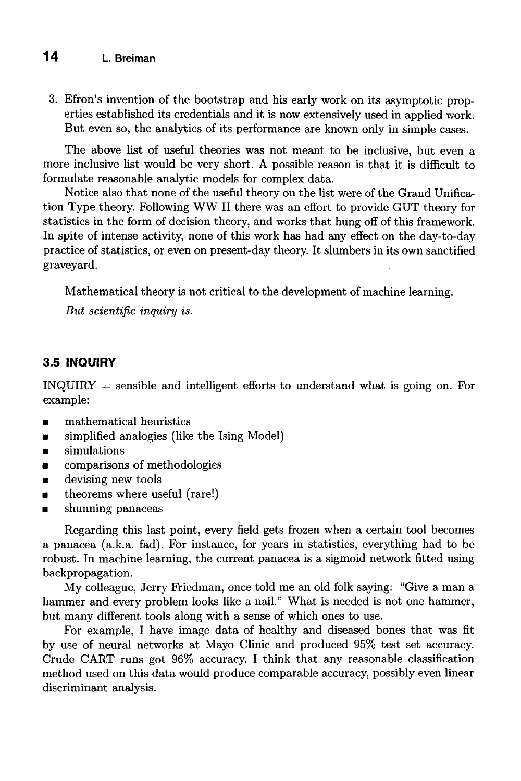3. Efron's invention of the bootstrap and his early work on its asymptotic properties established its credentials and it is now extensively used in applied work. But even so, the analytics of its performance are known only in simple cases.

The above list of useful theories was not meant to be inclusive, but even a more inclusive list would be very short. A possible reason is that it is difficult to formulate reasonable analytic models for complex data.

Notice also that none of the useful theory on the list were of the Grand Unification Type theory. Following WW II there was an effort to provide GUT theory for statistics in the form of decision theory, and works that hung off of this framework. In spite of intense activity, none of this work has had any effect on the day-to-day practice of statistics, or even on present-day theory. It slumbers in its own sanctified graveyard.

Mathematical theory is not critical to the development of machine learning.

*But scientific inquiry is.*

#### **3.5 INQUIRY**

INQUIRY = sensible and intelligent efforts to understand what is going on. For example:

- mathematical heuristics
- simplified analogies (like the Ising Model)
- simulations
- comparisons of methodologies
- devising new tools
- theorems where useful (rare!)
- shunning panaceas

Regarding this last point, every field gets frozen when a certain tool becomes a panacea (a.k.a. fad). For instance, for years in statistics, everything had to be robust. In machine learning, the current panacea is a sigmoid network fitted using backpropagation.

My colleague, Jerry Friedman, once told me an old folk saying: "Give a man a hammer and every problem looks like a nail." What is needed is not one hammer, but many different tools along with a sense of which ones to use.

For example, I have image data of healthy and diseased bones that was fit by use of neural networks at Mayo Clinic and produced 95% test set accuracy. Crude CART runs got 96% accuracy. I think that any reasonable classification method used on this data would produce comparable accuracy, possibly even linear discriminant analysis.